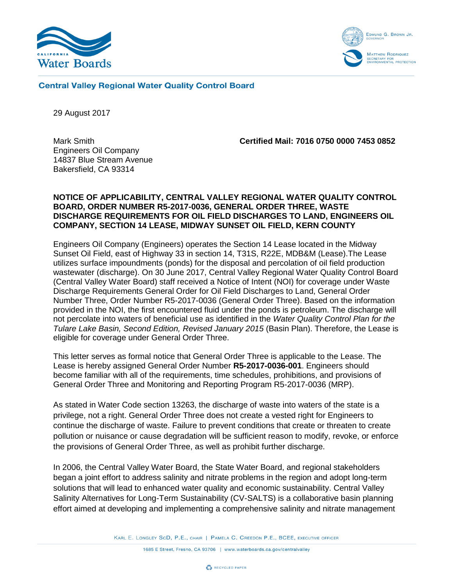



## **Central Valley Regional Water Quality Control Board**

29 August 2017

Engineers Oil Company 14837 Blue Stream Avenue Bakersfield, CA 93314

Mark Smith **Certified Mail: 7016 0750 0000 7453 0852**

### **NOTICE OF APPLICABILITY, CENTRAL VALLEY REGIONAL WATER QUALITY CONTROL BOARD, ORDER NUMBER R5-2017-0036, GENERAL ORDER THREE, WASTE DISCHARGE REQUIREMENTS FOR OIL FIELD DISCHARGES TO LAND, ENGINEERS OIL COMPANY, SECTION 14 LEASE, MIDWAY SUNSET OIL FIELD, KERN COUNTY**

Engineers Oil Company (Engineers) operates the Section 14 Lease located in the Midway Sunset Oil Field, east of Highway 33 in section 14, T31S, R22E, MDB&M (Lease).The Lease utilizes surface impoundments (ponds) for the disposal and percolation of oil field production wastewater (discharge). On 30 June 2017, Central Valley Regional Water Quality Control Board (Central Valley Water Board) staff received a Notice of Intent (NOI) for coverage under Waste Discharge Requirements General Order for Oil Field Discharges to Land, General Order Number Three, Order Number R5-2017-0036 (General Order Three). Based on the information provided in the NOI, the first encountered fluid under the ponds is petroleum. The discharge will not percolate into waters of beneficial use as identified in the *Water Quality Control Plan for the Tulare Lake Basin, Second Edition, Revised January 2015* (Basin Plan). Therefore, the Lease is eligible for coverage under General Order Three.

This letter serves as formal notice that General Order Three is applicable to the Lease. The Lease is hereby assigned General Order Number **R5-2017-0036-001**. Engineers should become familiar with all of the requirements, time schedules, prohibitions, and provisions of General Order Three and Monitoring and Reporting Program R5-2017-0036 (MRP).

As stated in Water Code section 13263, the discharge of waste into waters of the state is a privilege, not a right. General Order Three does not create a vested right for Engineers to continue the discharge of waste. Failure to prevent conditions that create or threaten to create pollution or nuisance or cause degradation will be sufficient reason to modify, revoke, or enforce the provisions of General Order Three, as well as prohibit further discharge.

In 2006, the Central Valley Water Board, the State Water Board, and regional stakeholders began a joint effort to address salinity and nitrate problems in the region and adopt long-term solutions that will lead to enhanced water quality and economic sustainability. Central Valley Salinity Alternatives for Long-Term Sustainability (CV-SALTS) is a collaborative basin planning effort aimed at developing and implementing a comprehensive salinity and nitrate management

KARL E. LONGLEY SCD, P.E., CHAIR | PAMELA C. CREEDON P.E., BCEE, EXECUTIVE OFFICER

1685 E Street, Fresno, CA 93706 | www.waterboards.ca.gov/centralvalley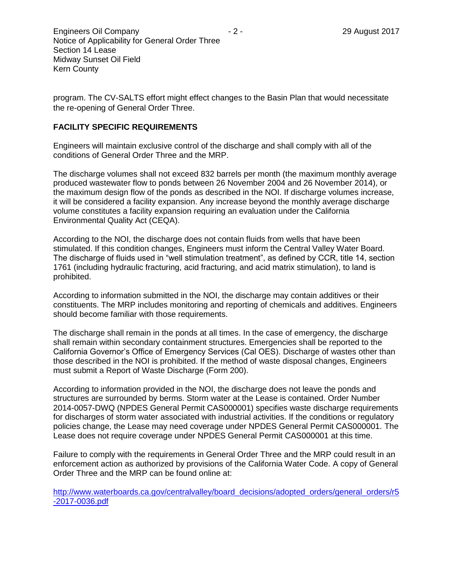program. The CV-SALTS effort might effect changes to the Basin Plan that would necessitate the re-opening of General Order Three.

# **FACILITY SPECIFIC REQUIREMENTS**

Engineers will maintain exclusive control of the discharge and shall comply with all of the conditions of General Order Three and the MRP.

The discharge volumes shall not exceed 832 barrels per month (the maximum monthly average produced wastewater flow to ponds between 26 November 2004 and 26 November 2014), or the maximum design flow of the ponds as described in the NOI. If discharge volumes increase, it will be considered a facility expansion. Any increase beyond the monthly average discharge volume constitutes a facility expansion requiring an evaluation under the California Environmental Quality Act (CEQA).

According to the NOI, the discharge does not contain fluids from wells that have been stimulated. If this condition changes, Engineers must inform the Central Valley Water Board. The discharge of fluids used in "well stimulation treatment", as defined by CCR, title 14, section 1761 (including hydraulic fracturing, acid fracturing, and acid matrix stimulation), to land is prohibited.

According to information submitted in the NOI, the discharge may contain additives or their constituents. The MRP includes monitoring and reporting of chemicals and additives. Engineers should become familiar with those requirements.

The discharge shall remain in the ponds at all times. In the case of emergency, the discharge shall remain within secondary containment structures. Emergencies shall be reported to the California Governor's Office of Emergency Services (Cal OES). Discharge of wastes other than those described in the NOI is prohibited. If the method of waste disposal changes, Engineers must submit a Report of Waste Discharge (Form 200).

According to information provided in the NOI, the discharge does not leave the ponds and structures are surrounded by berms. Storm water at the Lease is contained. Order Number 2014-0057-DWQ (NPDES General Permit CAS000001) specifies waste discharge requirements for discharges of storm water associated with industrial activities. If the conditions or regulatory policies change, the Lease may need coverage under NPDES General Permit CAS000001. The Lease does not require coverage under NPDES General Permit CAS000001 at this time.

Failure to comply with the requirements in General Order Three and the MRP could result in an enforcement action as authorized by provisions of the California Water Code. A copy of General Order Three and the MRP can be found online at:

[http://www.waterboards.ca.gov/centralvalley/board\\_decisions/adopted\\_orders/general\\_orders/r5](http://www.waterboards.ca.gov/centralvalley/board_decisions/adopted_orders/general_orders/r5-2017-0036.pdf) [-2017-0036.pdf](http://www.waterboards.ca.gov/centralvalley/board_decisions/adopted_orders/general_orders/r5-2017-0036.pdf)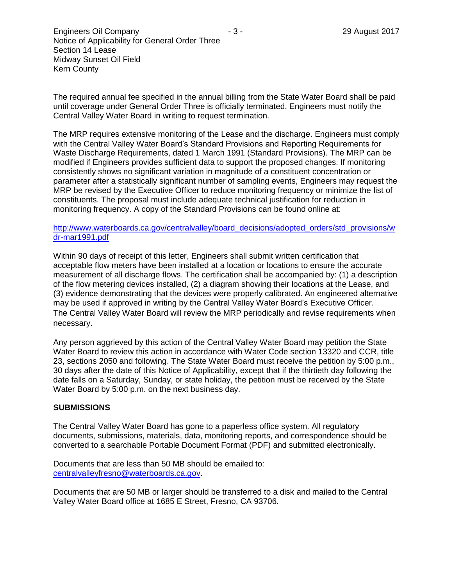The required annual fee specified in the annual billing from the State Water Board shall be paid until coverage under General Order Three is officially terminated. Engineers must notify the Central Valley Water Board in writing to request termination.

The MRP requires extensive monitoring of the Lease and the discharge. Engineers must comply with the Central Valley Water Board's Standard Provisions and Reporting Requirements for Waste Discharge Requirements, dated 1 March 1991 (Standard Provisions). The MRP can be modified if Engineers provides sufficient data to support the proposed changes. If monitoring consistently shows no significant variation in magnitude of a constituent concentration or parameter after a statistically significant number of sampling events, Engineers may request the MRP be revised by the Executive Officer to reduce monitoring frequency or minimize the list of constituents. The proposal must include adequate technical justification for reduction in monitoring frequency. A copy of the Standard Provisions can be found online at:

## [http://www.waterboards.ca.gov/centralvalley/board\\_decisions/adopted\\_orders/std\\_provisions/w](http://www.waterboards.ca.gov/centralvalley/board_decisions/adopted_orders/std_provisions/wdr-mar1991.pdf) [dr-mar1991.pdf](http://www.waterboards.ca.gov/centralvalley/board_decisions/adopted_orders/std_provisions/wdr-mar1991.pdf)

Within 90 days of receipt of this letter, Engineers shall submit written certification that acceptable flow meters have been installed at a location or locations to ensure the accurate measurement of all discharge flows. The certification shall be accompanied by: (1) a description of the flow metering devices installed, (2) a diagram showing their locations at the Lease, and (3) evidence demonstrating that the devices were properly calibrated. An engineered alternative may be used if approved in writing by the Central Valley Water Board's Executive Officer. The Central Valley Water Board will review the MRP periodically and revise requirements when necessary.

Any person aggrieved by this action of the Central Valley Water Board may petition the State Water Board to review this action in accordance with Water Code section 13320 and CCR, title 23, sections 2050 and following. The State Water Board must receive the petition by 5:00 p.m., 30 days after the date of this Notice of Applicability, except that if the thirtieth day following the date falls on a Saturday, Sunday, or state holiday, the petition must be received by the State Water Board by 5:00 p.m. on the next business day.

### **SUBMISSIONS**

The Central Valley Water Board has gone to a paperless office system. All regulatory documents, submissions, materials, data, monitoring reports, and correspondence should be converted to a searchable Portable Document Format (PDF) and submitted electronically.

Documents that are less than 50 MB should be emailed to: [centralvalleyfresno@waterboards.ca.gov.](mailto:centralvalleyfresno@waterboards.ca.gov)

Documents that are 50 MB or larger should be transferred to a disk and mailed to the Central Valley Water Board office at 1685 E Street, Fresno, CA 93706.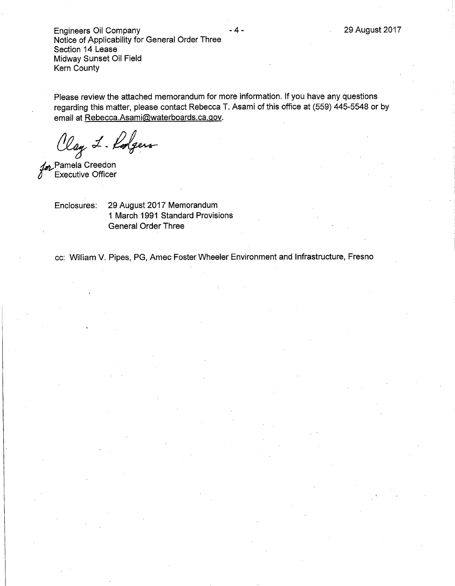**Engineers Oil Company** Notice of Applicability for General Order Three Section 14 Lease Midway Sunset Oil Field Kern County

Please review the attached memorandum for more information. If you have any questions regarding this matter, please contact Rebecca T. Asami of this office at (559) 445-5548 or by email at Rebecca.Asami@waterboards.ca.gov.

. 4 -

Clay L. Rolgers

for Pamela Creedon<br>Executive Officer

29 August 2017 Memorandum Enclosures: 1 March 1991 Standard Provisions **General Order Three** 

cc: William V. Pipes, PG, Amec Foster Wheeler Environment and Infrastructure, Fresno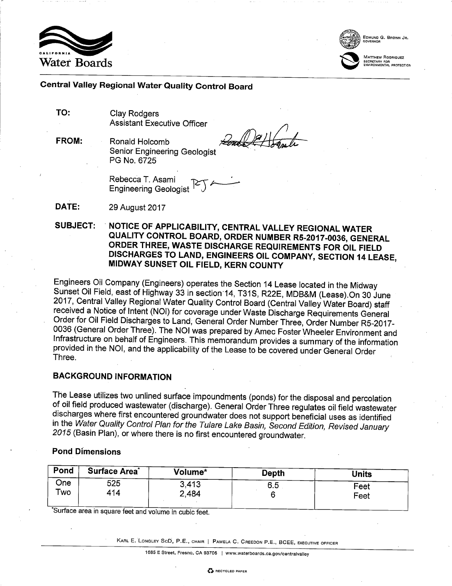



EDMUND G. BROWN JR.

MATTHEW RODRIQUEZ

## Central Valley Regional Water Quality Control Board

TO: **Clav Rodgers Assistant Executive Officer** 

**FROM:** Ronald Holcomb **Senior Engineering Geologist** PG No. 6725

 $\sqrt{\frac{2}{\pi}}$ 

Rebecca T. Asami Engineering Geologist<sup>T</sup>

DATE: 29 August 2017

#### **SUBJECT:** NOTICE OF APPLICABILITY, CENTRAL VALLEY REGIONAL WATER QUALITY CONTROL BOARD, ORDER NUMBER R5-2017-0036, GENERAL ORDER THREE, WASTE DISCHARGE REQUIREMENTS FOR OIL FIELD DISCHARGES TO LAND, ENGINEERS OIL COMPANY, SECTION 14 LEASE, MIDWAY SUNSET OIL FIELD, KERN COUNTY

Engineers Oil Company (Engineers) operates the Section 14 Lease located in the Midway Sunset Oil Field, east of Highway 33 in section 14, T31S, R22E, MDB&M (Lease) On 30 June 2017, Central Valley Regional Water Quality Control Board (Central Valley Water Board) staff received a Notice of Intent (NOI) for coverage under Waste Discharge Requirements General Order for Oil Field Discharges to Land, General Order Number Three, Order Number R5-2017-0036 (General Order Three). The NOI was prepared by Amec Foster Wheeler Environment and Infrastructure on behalf of Engineers. This memorandum provides a summary of the information provided in the NOI, and the applicability of the Lease to be covered under General Order Three.

# **BACKGROUND INFORMATION**

The Lease utilizes two unlined surface impoundments (ponds) for the disposal and percolation of oil field produced wastewater (discharge). General Order Three regulates oil field wastewater discharges where first encountered groundwater does not support beneficial uses as identified in the Water Quality Control Plan for the Tulare Lake Basin, Second Edition, Revised January 2015 (Basin Plan), or where there is no first encountered groundwater.

## **Pond Dimensions**

| Pond | <b>Surface Area</b> | Volume* | <b>Depth</b> | Units |
|------|---------------------|---------|--------------|-------|
| One  | 525                 | 3,413   | 6.5          | Feet  |
| Two  | 414                 | 2,484   |              | Feet  |

Surface area in square feet and volume in cubic feet.

KARL E. LONGLEY SCD, P.E., CHAIR | PAMELA C. CREEDON P.E., BCEE, EXECUTIVE OFFICER

1685 E Street, Fresno, CA 93706 | www.waterboards.ca.gov/centralvalley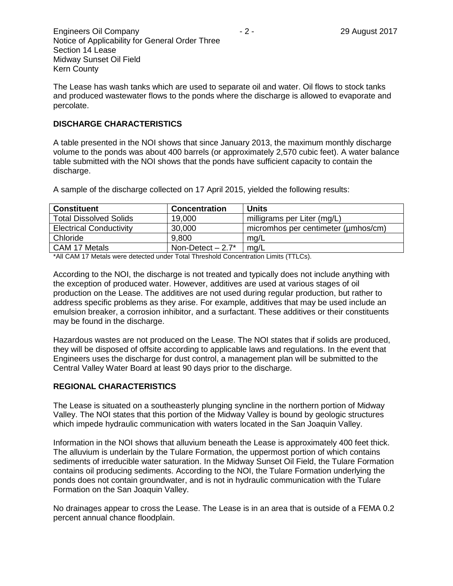The Lease has wash tanks which are used to separate oil and water. Oil flows to stock tanks and produced wastewater flows to the ponds where the discharge is allowed to evaporate and percolate.

# **DISCHARGE CHARACTERISTICS**

A table presented in the NOI shows that since January 2013, the maximum monthly discharge volume to the ponds was about 400 barrels (or approximately 2,570 cubic feet). A water balance table submitted with the NOI shows that the ponds have sufficient capacity to contain the discharge.

| <b>Constituent</b>             | <b>Concentration</b>           | Units                               |
|--------------------------------|--------------------------------|-------------------------------------|
| <b>Total Dissolved Solids</b>  | 19,000                         | milligrams per Liter (mg/L)         |
| <b>Electrical Conductivity</b> | 30,000                         | micromhos per centimeter (umhos/cm) |
| Chloride                       | 9.800                          | mg/L                                |
| CAM 17 Metals                  | Non-Detect $-2.7$ <sup>*</sup> | mg/L                                |

A sample of the discharge collected on 17 April 2015, yielded the following results:

\*All CAM 17 Metals were detected under Total Threshold Concentration Limits (TTLCs).

According to the NOI, the discharge is not treated and typically does not include anything with the exception of produced water. However, additives are used at various stages of oil production on the Lease. The additives are not used during regular production, but rather to address specific problems as they arise. For example, additives that may be used include an emulsion breaker, a corrosion inhibitor, and a surfactant. These additives or their constituents may be found in the discharge.

Hazardous wastes are not produced on the Lease. The NOI states that if solids are produced, they will be disposed of offsite according to applicable laws and regulations. In the event that Engineers uses the discharge for dust control, a management plan will be submitted to the Central Valley Water Board at least 90 days prior to the discharge.

# **REGIONAL CHARACTERISTICS**

The Lease is situated on a southeasterly plunging syncline in the northern portion of Midway Valley. The NOI states that this portion of the Midway Valley is bound by geologic structures which impede hydraulic communication with waters located in the San Joaquin Valley.

Information in the NOI shows that alluvium beneath the Lease is approximately 400 feet thick. The alluvium is underlain by the Tulare Formation, the uppermost portion of which contains sediments of irreducible water saturation. In the Midway Sunset Oil Field, the Tulare Formation contains oil producing sediments. According to the NOI, the Tulare Formation underlying the ponds does not contain groundwater, and is not in hydraulic communication with the Tulare Formation on the San Joaquin Valley.

No drainages appear to cross the Lease. The Lease is in an area that is outside of a FEMA 0.2 percent annual chance floodplain.